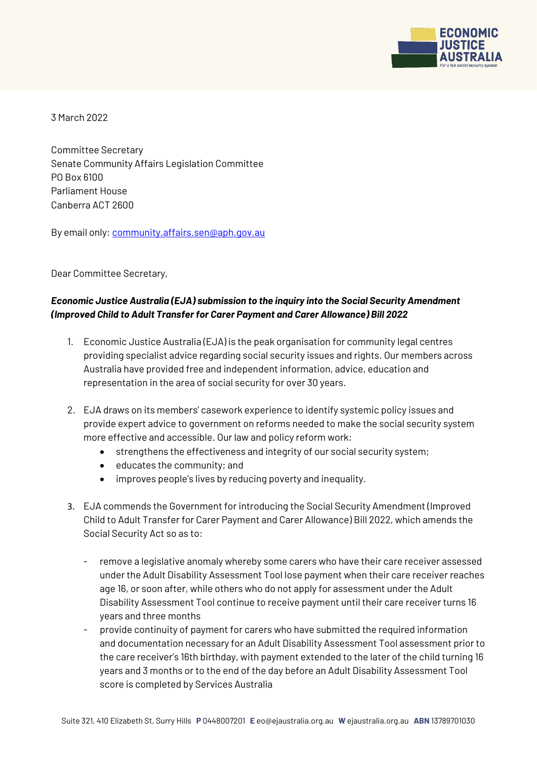

3 March 2022

Committee Secretary Senate Community Affairs Legislation Committee PO Box 6100 Parliament House Canberra ACT 2600

By email only: [community.affairs.sen@aph.gov.au](mailto:community.affairs.sen@aph.gov.au)

Dear Committee Secretary,

# *Economic Justice Australia (EJA) submission to the inquiry into the Social Security Amendment (Improved Child to Adult Transfer for Carer Payment and Carer Allowance) Bill 2022*

- 1. Economic Justice Australia (EJA) is the peak organisation for community legal centres providing specialist advice regarding social security issues and rights. Our members across Australia have provided free and independent information, advice, education and representation in the area of social security for over 30 years.
- 2. EJA draws on its members' casework experience to identify systemic policy issues and provide expert advice to government on reforms needed to make the social security system more effective and accessible. Our law and policy reform work:
	- strengthens the effectiveness and integrity of our social security system;
	- $\bullet$  educates the community; and
	- improves people's lives by reducing poverty and inequality.
- 3. EJA commends the Government for introducing the Social Security Amendment (Improved Child to Adult Transfer for Carer Payment and Carer Allowance) Bill 2022, which amends the Social Security Act so as to:
	- remove a legislative anomaly whereby some carers who have their care receiver assessed under the Adult Disability Assessment Tool lose payment when their care receiver reaches age 16, or soon after, while others who do not apply for assessment under the Adult Disability Assessment Tool continue to receive payment until their care receiver turns 16 years and three months
	- provide continuity of payment for carers who have submitted the required information and documentation necessary for an Adult Disability Assessment Tool assessment prior to the care receiver's 16th birthday, with payment extended to the later of the child turning 16 years and 3 months or to the end of the day before an Adult Disability Assessment Tool score is completed by Services Australia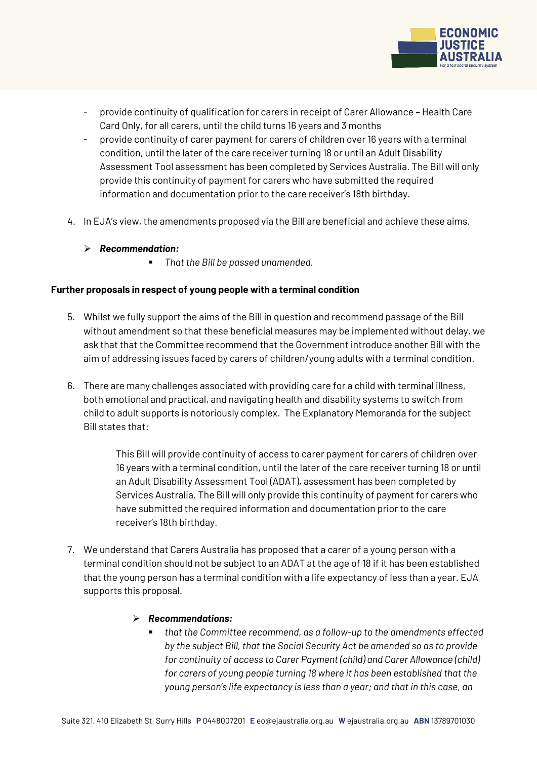

- provide continuity of qualification for carers in receipt of Carer Allowance Health Care Card Only, for all carers, until the child turns 16 years and 3 months
- provide continuity of carer payment for carers of children over 16 years with a terminal condition, until the later of the care receiver turning 18 or until an Adult Disability Assessment Tool assessment has been completed by Services Australia. The Bill will only provide this continuity of payment for carers who have submitted the required information and documentation prior to the care receiver's 18th birthday.
- 4. In EJA's view, the amendments proposed via the Bill are beneficial and achieve these aims.
	- *Recommendation:* 
		- *That the Bill be passed unamended.*

### **Further proposals in respect of young people with a terminal condition**

- 5. Whilst we fully support the aims of the Bill in question and recommend passage of the Bill without amendment so that these beneficial measures may be implemented without delay, we ask that that the Committee recommend that the Government introduce another Bill with the aim of addressing issues faced by carers of children/young adults with a terminal condition.
- 6. There are many challenges associated with providing care for a child with terminal illness, both emotional and practical, and navigating health and disability systems to switch from child to adult supports is notoriously complex. The Explanatory Memoranda for the subject Bill states that:

This Bill will provide continuity of access to carer payment for carers of children over 16 years with a terminal condition, until the later of the care receiver turning 18 or until an Adult Disability Assessment Tool (ADAT), assessment has been completed by Services Australia. The Bill will only provide this continuity of payment for carers who have submitted the required information and documentation prior to the care receiver's 18th birthday.

7. We understand that Carers Australia has proposed that a carer of a young person with a terminal condition should not be subject to an ADAT at the age of 18 if it has been established that the young person has a terminal condition with a life expectancy of less than a year. EJA supports this proposal.

### *Recommendations:*

 *that the Committee recommend, as a follow-up to the amendments effected by the subject Bill, that the Social Security Act be amended so as to provide for continuity of access to Carer Payment (child) and Carer Allowance (child) for carers of young people turning 18 where it has been established that the young person's life expectancy is less than a year; and that in this case, an*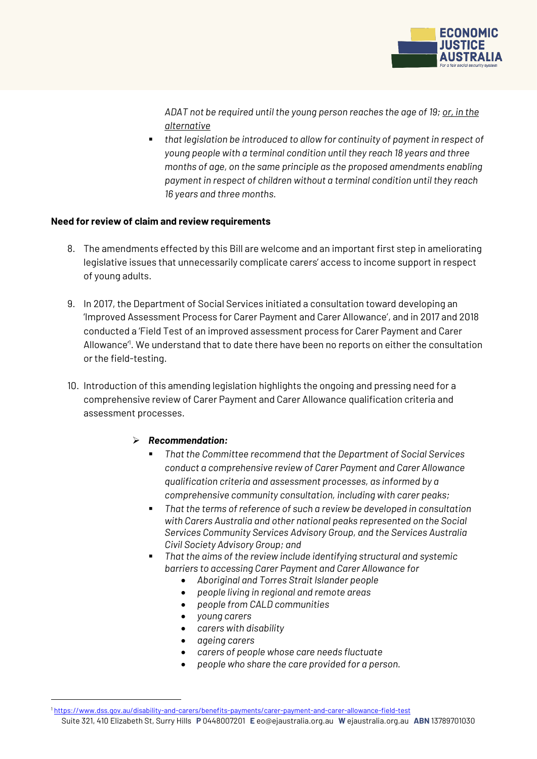

*ADAT not be required until the young person reaches the age of 19; or, in the alternative*

 *that legislation be introduced to allow for continuity of payment in respect of young people with a terminal condition until they reach 18 years and three months of age, on the same principle as the proposed amendments enabling payment in respect of children without a terminal condition until they reach 16 years and three months.*

### **Need for review of claim and review requirements**

- 8. The amendments effected by this Bill are welcome and an important first step in ameliorating legislative issues that unnecessarily complicate carers' access to income support in respect of young adults.
- 9. In 2017, the Department of Social Services initiated a consultation toward developing an 'Improved Assessment Process for Carer Payment and Carer Allowance', and in 2017 and 2018 conducted a 'Field Test of an improved assessment process for Carer Payment and Carer Allowance<sup>"</sup>. We understand that to date there have been no reports on either the consultation or the field-testing.
- 10. Introduction of this amending legislation highlights the ongoing and pressing need for a comprehensive review of Carer Payment and Carer Allowance qualification criteria and assessment processes.

# *Recommendation:*

- *That the Committee recommend that the Department of Social Services conduct a comprehensive review of Carer Payment and Carer Allowance qualification criteria and assessment processes, as informed by a comprehensive community consultation, including with carer peaks;*
- *That the terms of reference of such a review be developed in consultation with Carers Australia and other national peaks represented on the Social Services Community Services Advisory Group, and the Services Australia Civil Society Advisory Group; and*
- *That the aims of the review include identifying structural and systemic barriers to accessing Carer Payment and Carer Allowance for*
	- *Aboriginal and Torres Strait Islander people*
	- *people living in regional and remote areas*
	- *people from CALD communities*
	- *young carers*
	- *carers with disability*
	- *ageing carers*

<u>.</u>

- *carers of people whose care needs fluctuate*
- *people who share the care provided for a person.*

Suite 321, 410 Elizabeth St, Surry Hills **P** 0448007201 **E** eo@ejaustralia.org.au **W** ejaustralia.org.au **ABN** 13789701030 <sup>1</sup> <https://www.dss.gov.au/disability-and-carers/benefits-payments/carer-payment-and-carer-allowance-field-test>